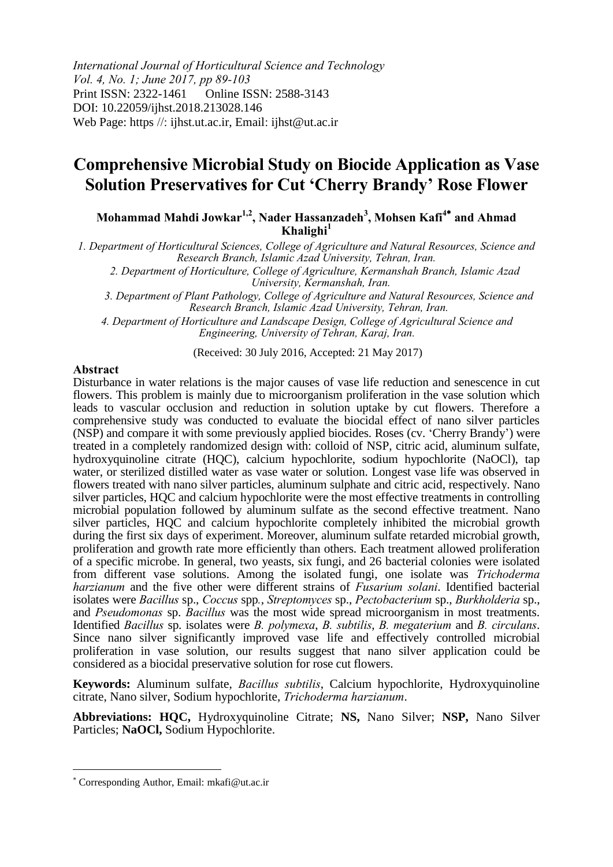*International Journal of Horticultural Science and Technology Vol. 4, No. 1; June 2017, pp 89-103*  Print ISSN: 2322-1461 Online ISSN: 2588-3143 DOI: 10.22059/ijhst.2018.213028.146 Web Page: https //: ijhst.ut.ac.ir, Email: ijhst@ut.ac.ir

# **Comprehensive Microbial Study on Biocide Application as Vase Solution Preservatives for Cut 'Cherry Brandy' Rose Flower**

**Mohammad Mahdi Jowkar1,2, Nader Hassanzadeh<sup>3</sup> , Mohsen Kafi<sup>4</sup> and Ahmad Khalighi<sup>1</sup>**

*1. Department of Horticultural Sciences, College of Agriculture and Natural Resources, Science and Research Branch, Islamic Azad University, Tehran, Iran.* 

*2. Department of Horticulture, College of Agriculture, Kermanshah Branch, Islamic Azad University, Kermanshah, Iran.*

*3. Department of Plant Pathology, College of Agriculture and Natural Resources, Science and Research Branch, Islamic Azad University, Tehran, Iran.* 

*4. Department of Horticulture and Landscape Design, College of Agricultural Science and Engineering, University of Tehran, Karaj, Iran.* 

(Received: 30 July 2016, Accepted: 21 May 2017)

#### **Abstract**

Disturbance in water relations is the major causes of vase life reduction and senescence in cut flowers. This problem is mainly due to microorganism proliferation in the vase solution which leads to vascular occlusion and reduction in solution uptake by cut flowers. Therefore a comprehensive study was conducted to evaluate the biocidal effect of nano silver particles (NSP) and compare it with some previously applied biocides. Roses (cv. 'Cherry Brandy') were treated in a completely randomized design with: colloid of NSP, citric acid, aluminum sulfate, hydroxyquinoline citrate (HQC), calcium hypochlorite, sodium hypochlorite (NaOCl), tap water, or sterilized distilled water as vase water or solution. Longest vase life was observed in flowers treated with nano silver particles, aluminum sulphate and citric acid, respectively. Nano silver particles, HQC and calcium hypochlorite were the most effective treatments in controlling microbial population followed by aluminum sulfate as the second effective treatment. Nano silver particles, HQC and calcium hypochlorite completely inhibited the microbial growth during the first six days of experiment. Moreover, aluminum sulfate retarded microbial growth, proliferation and growth rate more efficiently than others. Each treatment allowed proliferation of a specific microbe. In general, two yeasts, six fungi, and 26 bacterial colonies were isolated from different vase solutions. Among the isolated fungi, one isolate was *Trichoderma harzianum* and the five other were different strains of *Fusarium solani*. Identified bacterial isolates were *Bacillus* sp., *Coccus* spp*.*, *Streptomyces* sp., *Pectobacterium* sp., *Burkholderia* sp., and *Pseudomonas* sp. *Bacillus* was the most wide spread microorganism in most treatments. Identified *Bacillus* sp. isolates were *B. polymexa*, *B. subtilis*, *B. megaterium* and *B. circulans*. Since nano silver significantly improved vase life and effectively controlled microbial proliferation in vase solution, our results suggest that nano silver application could be considered as a biocidal preservative solution for rose cut flowers.

**Keywords:** Aluminum sulfate, *Bacillus subtilis*, Calcium hypochlorite, Hydroxyquinoline citrate, Nano silver, Sodium hypochlorite, *Trichoderma harzianum*.

**Abbreviations: HQC,** Hydroxyquinoline Citrate; **NS,** Nano Silver; **NSP,** Nano Silver Particles; **NaOCl,** Sodium Hypochlorite.

 $\overline{a}$ 

Corresponding Author, Email: mkafi@ut.ac.ir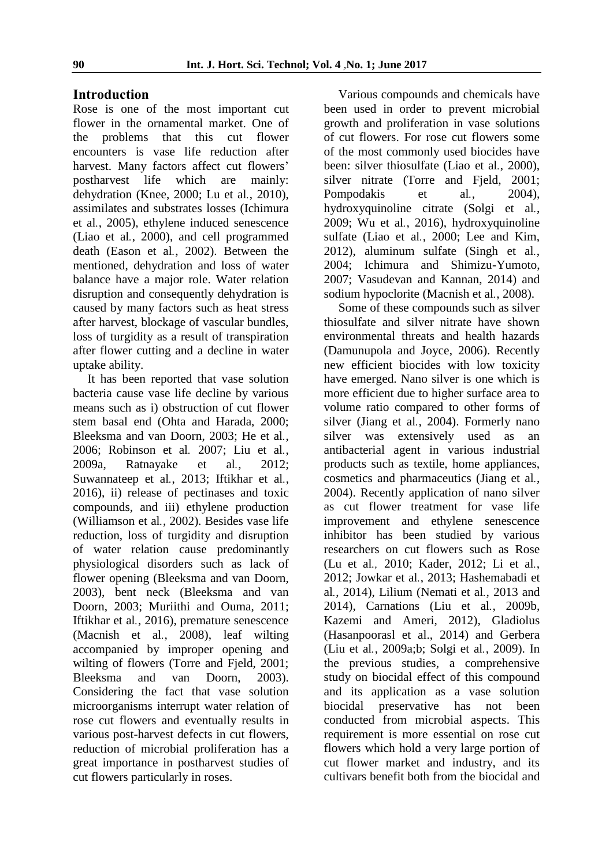#### **Introduction**

Rose is one of the most important cut flower in the ornamental market. One of the problems that this cut flower encounters is vase life reduction after harvest. Many factors affect cut flowers' postharvest life which are mainly: dehydration (Knee, 2000; Lu et al*.*, 2010), assimilates and substrates losses (Ichimura et al*.*, 2005), ethylene induced senescence (Liao et al*.*, 2000), and cell programmed death (Eason et al*.*, 2002). Between the mentioned, dehydration and loss of water balance have a major role. Water relation disruption and consequently dehydration is caused by many factors such as heat stress after harvest, blockage of vascular bundles, loss of turgidity as a result of transpiration after flower cutting and a decline in water uptake ability.

It has been reported that vase solution bacteria cause vase life decline by various means such as i) obstruction of cut flower stem basal end (Ohta and Harada, 2000; Bleeksma and van Doorn, 2003; He et al*.*, 2006; Robinson et al*.* 2007; Liu et al*.*, 2009a, Ratnayake et al*.*, 2012; Suwannateep et al*.*, 2013; Iftikhar et al*.*, 2016), ii) release of pectinases and toxic compounds, and iii) ethylene production (Williamson et al*.*, 2002). Besides vase life reduction, loss of turgidity and disruption of water relation cause predominantly physiological disorders such as lack of flower opening (Bleeksma and van Doorn, 2003), bent neck (Bleeksma and van Doorn, 2003; Muriithi and Ouma, 2011; Iftikhar et al*.*, 2016), premature senescence (Macnish et al*.*, 2008), leaf wilting accompanied by improper opening and wilting of flowers (Torre and Fjeld, 2001; Bleeksma and van Doorn, 2003). Considering the fact that vase solution microorganisms interrupt water relation of rose cut flowers and eventually results in various post-harvest defects in cut flowers, reduction of microbial proliferation has a great importance in postharvest studies of cut flowers particularly in roses.

Various compounds and chemicals have been used in order to prevent microbial growth and proliferation in vase solutions of cut flowers. For rose cut flowers some of the most commonly used biocides have been: silver thiosulfate (Liao et al*.*, 2000), silver nitrate (Torre and Fjeld, 2001; Pompodakis et al., 2004), hydroxyquinoline citrate (Solgi et al*.*, 2009; Wu et al*.*, 2016), hydroxyquinoline sulfate (Liao et al*.*, 2000; Lee and Kim, 2012), aluminum sulfate (Singh et al*.*, 2004; Ichimura and Shimizu-Yumoto, 2007; Vasudevan and Kannan, 2014) and sodium hypoclorite (Macnish et al*.*, 2008).

Some of these compounds such as silver thiosulfate and silver nitrate have shown environmental threats and health hazards (Damunupola and Joyce, 2006). Recently new efficient biocides with low toxicity have emerged. Nano silver is one which is more efficient due to higher surface area to volume ratio compared to other forms of silver (Jiang et al*.*, 2004). Formerly nano silver was extensively used as an antibacterial agent in various industrial products such as textile, home appliances, cosmetics and pharmaceutics (Jiang et al*.*, 2004). Recently application of nano silver as cut flower treatment for vase life improvement and ethylene senescence inhibitor has been studied by various researchers on cut flowers such as Rose (Lu et al*.,* 2010; Kader, 2012; Li et al*.*, 2012; Jowkar et al*.*, 2013; Hashemabadi et al*.*, 2014), Lilium (Nemati et al*.*, 2013 and 2014), Carnations (Liu et al*.*, 2009b, Kazemi and Ameri, 2012), Gladiolus (Hasanpoorasl et al., 2014) and Gerbera (Liu et al*.*, 2009a;b; Solgi et al*.*, 2009). In the previous studies, a comprehensive study on biocidal effect of this compound and its application as a vase solution biocidal preservative has not been conducted from microbial aspects. This requirement is more essential on rose cut flowers which hold a very large portion of cut flower market and industry, and its cultivars benefit both from the biocidal and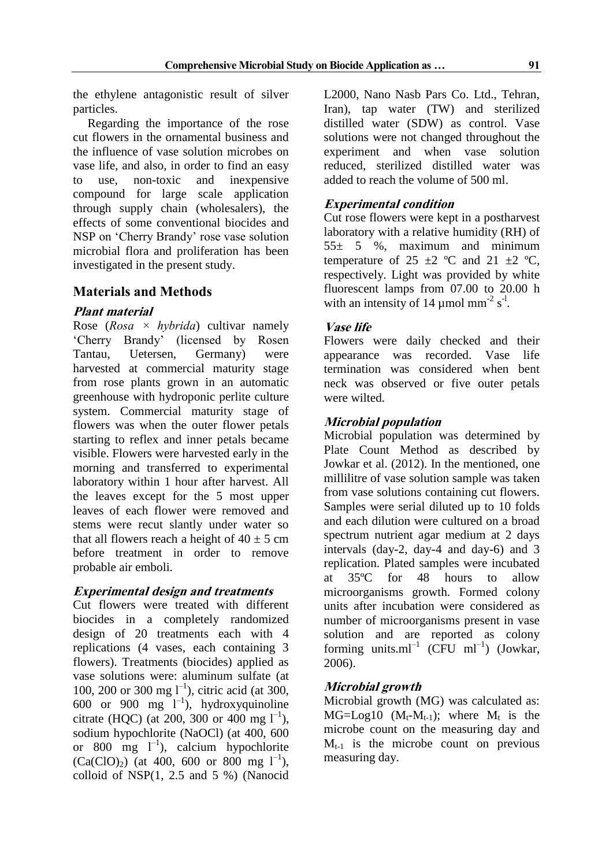the ethylene antagonistic result of silver particles.

Regarding the importance of the rose cut flowers in the ornamental business and the influence of vase solution microbes on vase life, and also, in order to find an easy to use, non-toxic and inexpensive compound for large scale application through supply chain (wholesalers), the effects of some conventional biocides and NSP on 'Cherry Brandy' rose vase solution microbial flora and proliferation has been investigated in the present study.

## **Materials and Methods**

### **Plant material**

Rose (*Rosa × hybrida*) cultivar namely 'Cherry Brandy' (licensed by Rosen Tantau, Uetersen, Germany) were harvested at commercial maturity stage from rose plants grown in an automatic greenhouse with hydroponic perlite culture system. Commercial maturity stage of flowers was when the outer flower petals starting to reflex and inner petals became visible. Flowers were harvested early in the morning and transferred to experimental laboratory within 1 hour after harvest. All the leaves except for the 5 most upper leaves of each flower were removed and stems were recut slantly under water so that all flowers reach a height of  $40 \pm 5$  cm before treatment in order to remove probable air emboli.

## **Experimental design and treatments**

Cut flowers were treated with different biocides in a completely randomized design of 20 treatments each with 4 replications (4 vases, each containing 3 flowers). Treatments (biocides) applied as vase solutions were: aluminum sulfate (at 100, 200 or 300 mg  $I^{-1}$ ), citric acid (at 300, 600 or 900 mg  $I^{-1}$ ), hydroxyquinoline citrate (HQC) (at 200, 300 or 400 mg  $1^{-1}$ ), sodium hypochlorite (NaOCl) (at 400, 600 or 800 mg  $l^{-1}$ ), calcium hypochlorite  $(Ca(CIO)_2)$  (at 400, 600 or 800 mg l<sup>-1</sup>), colloid of NSP(1, 2.5 and 5 %) (Nanocid

L2000, Nano Nasb Pars Co. Ltd., Tehran, Iran), tap water (TW) and sterilized distilled water (SDW) as control. Vase solutions were not changed throughout the experiment and when vase solution reduced, sterilized distilled water was added to reach the volume of 500 ml.

## **Experimental condition**

Cut rose flowers were kept in a postharvest laboratory with a relative humidity (RH) of 55± 5 %, maximum and minimum temperature of 25  $\pm$ 2 °C and 21  $\pm$ 2 °C, respectively. Light was provided by white fluorescent lamps from 07.00 to 20.00 h with an intensity of 14  $\mu$ mol mm<sup>-2</sup> s<sup>-1</sup>.

#### **Vase life**

Flowers were daily checked and their appearance was recorded. Vase life termination was considered when bent neck was observed or five outer petals were wilted.

### **Microbial population**

Microbial population was determined by Plate Count Method as described by Jowkar et al. (2012). In the mentioned, one millilitre of vase solution sample was taken from vase solutions containing cut flowers. Samples were serial diluted up to 10 folds and each dilution were cultured on a broad spectrum nutrient agar medium at 2 days intervals (day-2, day-4 and day-6) and 3 replication. Plated samples were incubated at 35ºC for 48 hours to allow microorganisms growth. Formed colony units after incubation were considered as number of microorganisms present in vase solution and are reported as colony forming units.ml<sup>-1</sup> (CFU ml<sup>-1</sup>) (Jowkar, 2006).

## **Microbial growth**

Microbial growth (MG) was calculated as:  $MG = Log10$  ( $M_t$ - $M_{t-1}$ ); where  $M_t$  is the microbe count on the measuring day and  $M_{t-1}$  is the microbe count on previous measuring day.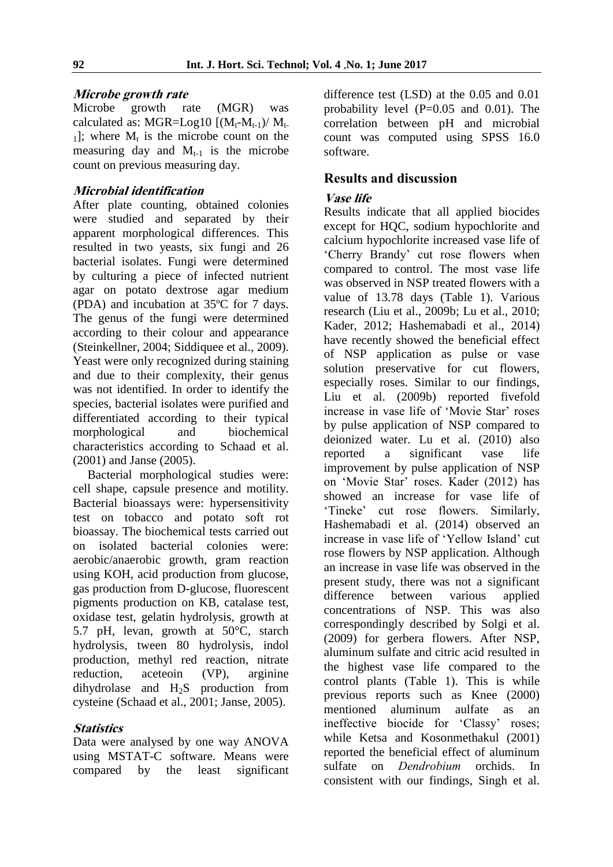#### **Microbe growth rate**

Microbe growth rate (MGR) was calculated as: MGR=Log10  $[(M_t-M_{t-1})/M_t]$  $_{1}$ ]; where  $M_{t}$  is the microbe count on the measuring day and  $M_{t-1}$  is the microbe count on previous measuring day.

### **Microbial identification**

After plate counting, obtained colonies were studied and separated by their apparent morphological differences. This resulted in two yeasts, six fungi and 26 bacterial isolates. Fungi were determined by culturing a piece of infected nutrient agar on potato dextrose agar medium (PDA) and incubation at 35ºC for 7 days. The genus of the fungi were determined according to their colour and appearance (Steinkellner, 2004; Siddiquee et al., 2009). Yeast were only recognized during staining and due to their complexity, their genus was not identified. In order to identify the species, bacterial isolates were purified and differentiated according to their typical morphological and biochemical characteristics according to Schaad et al. (2001) and Janse (2005).

Bacterial morphological studies were: cell shape, capsule presence and motility. Bacterial bioassays were: hypersensitivity test on tobacco and potato soft rot bioassay. The biochemical tests carried out on isolated bacterial colonies were: aerobic/anaerobic growth, gram reaction using KOH, acid production from glucose, gas production from D-glucose, fluorescent pigments production on KB, catalase test, oxidase test, gelatin hydrolysis, growth at 5.7 pH, levan, growth at 50°C, starch hydrolysis, tween 80 hydrolysis, indol production, methyl red reaction, nitrate reduction, aceteoin (VP), arginine dihydrolase and  $H_2S$  production from cysteine (Schaad et al., 2001; Janse, 2005).

#### **Statistics**

Data were analysed by one way ANOVA using MSTAT-C software. Means were compared by the least significant

difference test (LSD) at the 0.05 and 0.01 probability level  $(P=0.05$  and  $0.01)$ . The correlation between pH and microbial count was computed using SPSS 16.0 software.

### **Results and discussion**

#### **Vase life**

Results indicate that all applied biocides except for HQC, sodium hypochlorite and calcium hypochlorite increased vase life of 'Cherry Brandy' cut rose flowers when compared to control. The most vase life was observed in NSP treated flowers with a value of 13.78 days (Table 1). Various research (Liu et al., 2009b; Lu et al., 2010; Kader, 2012; Hashemabadi et al., 2014) have recently showed the beneficial effect of NSP application as pulse or vase solution preservative for cut flowers, especially roses. Similar to our findings, Liu et al. (2009b) reported fivefold increase in vase life of 'Movie Star' roses by pulse application of NSP compared to deionized water. Lu et al. (2010) also reported a significant vase life improvement by pulse application of NSP on 'Movie Star' roses. Kader (2012) has showed an increase for vase life of 'Tineke' cut rose flowers. Similarly, Hashemabadi et al. (2014) observed an increase in vase life of 'Yellow Island' cut rose flowers by NSP application. Although an increase in vase life was observed in the present study, there was not a significant difference between various applied concentrations of NSP. This was also correspondingly described by Solgi et al. (2009) for gerbera flowers. After NSP, aluminum sulfate and citric acid resulted in the highest vase life compared to the control plants (Table 1). This is while previous reports such as Knee (2000) mentioned aluminum aulfate as an ineffective biocide for 'Classy' roses; while Ketsa and Kosonmethakul (2001) reported the beneficial effect of aluminum sulfate on *Dendrobium* orchids. In consistent with our findings, Singh et al.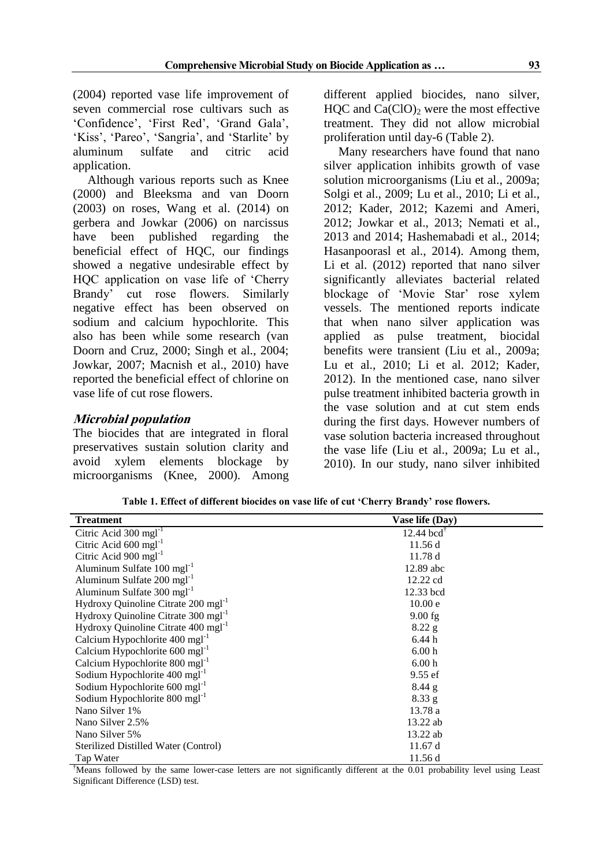(2004) reported vase life improvement of seven commercial rose cultivars such as 'Confidence', 'First Red', 'Grand Gala', 'Kiss', 'Pareo', 'Sangria', and 'Starlite' by aluminum sulfate and citric acid application.

Although various reports such as Knee (2000) and Bleeksma and van Doorn (2003) on roses, Wang et al. (2014) on gerbera and Jowkar (2006) on narcissus have been published regarding the beneficial effect of HQC, our findings showed a negative undesirable effect by HOC application on vase life of 'Cherry' Brandy' cut rose flowers. Similarly negative effect has been observed on sodium and calcium hypochlorite. This also has been while some research (van Doorn and Cruz, 2000; Singh et al., 2004; Jowkar, 2007; Macnish et al., 2010) have reported the beneficial effect of chlorine on vase life of cut rose flowers.

#### **Microbial population**

The biocides that are integrated in floral preservatives sustain solution clarity and avoid xylem elements blockage by microorganisms (Knee, 2000). Among

different applied biocides, nano silver, HOC and  $Ca(CIO)$ <sub>2</sub> were the most effective treatment. They did not allow microbial proliferation until day-6 (Table 2).

Many researchers have found that nano silver application inhibits growth of vase solution microorganisms (Liu et al., 2009a; Solgi et al., 2009; Lu et al., 2010; Li et al., 2012; Kader, 2012; Kazemi and Ameri, 2012; Jowkar et al., 2013; Nemati et al., 2013 and 2014; Hashemabadi et al., 2014; Hasanpoorasl et al., 2014). Among them, Li et al. (2012) reported that nano silver significantly alleviates bacterial related blockage of 'Movie Star' rose xylem vessels. The mentioned reports indicate that when nano silver application was applied as pulse treatment, biocidal benefits were transient (Liu et al., 2009a; Lu et al., 2010; Li et al. 2012; Kader, 2012). In the mentioned case, nano silver pulse treatment inhibited bacteria growth in the vase solution and at cut stem ends during the first days. However numbers of vase solution bacteria increased throughout the vase life (Liu et al., 2009a; Lu et al., 2010). In our study, nano silver inhibited

| Table 1. Effect of different biocides on vase life of cut 'Cherry Brandy' rose flowers. |  |
|-----------------------------------------------------------------------------------------|--|
|-----------------------------------------------------------------------------------------|--|

| <b>Treatment</b>                                | Vase life (Day)          |  |
|-------------------------------------------------|--------------------------|--|
| Citric Acid 300 mgl <sup>-1</sup>               | $12.44$ bcd <sup>T</sup> |  |
| Citric Acid $600 \text{ mg}l^{-1}$              | 11.56d                   |  |
| Citric Acid $900 \text{ mg}l^{-1}$              | 11.78d                   |  |
| Aluminum Sulfate $100 \text{ mgl}^{-1}$         | 12.89 abc                |  |
| Aluminum Sulfate $200 \text{ mgl}^{-1}$         | 12.22 cd                 |  |
| Aluminum Sulfate $300 \text{ mgl}^{-1}$         | 12.33 bcd                |  |
| Hydroxy Quinoline Citrate 200 mgl <sup>-1</sup> | 10.00 e                  |  |
| Hydroxy Quinoline Citrate 300 mgl <sup>-1</sup> | $9.00$ fg                |  |
| Hydroxy Quinoline Citrate 400 mgl <sup>-1</sup> | $8.22$ g                 |  |
| Calcium Hypochlorite $400 \text{ mgl}^{-1}$     | 6.44h                    |  |
| Calcium Hypochlorite $600 \text{ mgl}^{-1}$     | 6.00 <sub>h</sub>        |  |
| Calcium Hypochlorite $800 \text{ mgl}^{-1}$     | 6.00h                    |  |
| Sodium Hypochlorite $400 \text{ mgl}^{-1}$      | 9.55 ef                  |  |
| Sodium Hypochlorite $600 \text{ mgl}^{-1}$      | $8.44$ g                 |  |
| Sodium Hypochlorite $800 \text{ mgl}^{-1}$      | 8.33 g                   |  |
| Nano Silver 1%                                  | 13.78 a                  |  |
| Nano Silver 2.5%                                | 13.22 ab                 |  |
| Nano Silver 5%                                  | 13.22 ab                 |  |
| Sterilized Distilled Water (Control)            | 11.67 d                  |  |
| Tap Water                                       | 11.56 d                  |  |

†Means followed by the same lower-case letters are not significantly different at the 0.01 probability level using Least Significant Difference (LSD) test.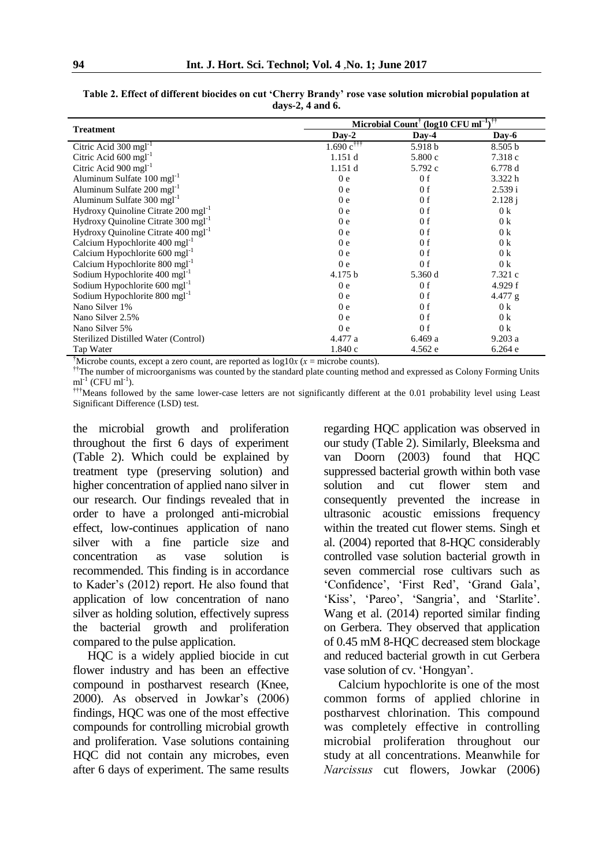|                                                 | Microbial Count <sup>†</sup> (log10 CFU $\overline{m l^{-1}}$ ) <sup>††</sup> |                |                |  |  |  |  |
|-------------------------------------------------|-------------------------------------------------------------------------------|----------------|----------------|--|--|--|--|
| <b>Treatment</b>                                | $Day-2$                                                                       | $Day-4$        | Day-6          |  |  |  |  |
| Citric Acid $300 \text{ mgl}^{-1}$              | $1.690 \text{ c}^{\dagger\dagger\dagger}$                                     | 5.918 b        | 8.505 b        |  |  |  |  |
| Citric Acid $600 \text{ mgl}^{-1}$              | 1.151d                                                                        | 5.800c         | 7.318c         |  |  |  |  |
| Citric Acid $900 \text{ mg}$ <sup>1-1</sup>     | 1.151 d                                                                       | 5.792 c        | 6.778 d        |  |  |  |  |
| Aluminum Sulfate 100 mgl <sup>-1</sup>          | 0 <sub>e</sub>                                                                | 0 f            | 3.322h         |  |  |  |  |
| Aluminum Sulfate 200 mgl <sup>-1</sup>          | 0 <sub>e</sub>                                                                | 0 f            | 2.539 i        |  |  |  |  |
| Aluminum Sulfate 300 mgl <sup>-1</sup>          | 0 <sub>e</sub>                                                                | 0 f            | 2.128j         |  |  |  |  |
| Hydroxy Quinoline Citrate 200 mgl <sup>-1</sup> | 0 <sub>e</sub>                                                                | 0 f            | 0 <sup>k</sup> |  |  |  |  |
| Hydroxy Quinoline Citrate 300 mgl <sup>-1</sup> | 0 <sub>e</sub>                                                                | 0 f            | 0 <sup>k</sup> |  |  |  |  |
| Hydroxy Quinoline Citrate 400 mgl <sup>-1</sup> | 0 <sub>e</sub>                                                                | 0 f            | 0 <sup>k</sup> |  |  |  |  |
| Calcium Hypochlorite $400 \text{ mgl}^{-1}$     | 0 <sub>e</sub>                                                                | 0 f            | 0 <sup>k</sup> |  |  |  |  |
| Calcium Hypochlorite $600 \text{ mgl}^{-1}$     | 0 <sub>e</sub>                                                                | 0 f            | 0 <sup>k</sup> |  |  |  |  |
| Calcium Hypochlorite 800 mgl <sup>-1</sup>      | 0 <sub>e</sub>                                                                | 0 f            | 0 <sup>k</sup> |  |  |  |  |
| Sodium Hypochlorite $400 \text{ mgl}^{-1}$      | 4.175 b                                                                       | 5.360 d        | 7.321 c        |  |  |  |  |
| Sodium Hypochlorite $600 \text{ mgl}^{-1}$      | 0 <sub>e</sub>                                                                | 0 f            | 4.929 f        |  |  |  |  |
| Sodium Hypochlorite 800 mgl <sup>-1</sup>       | 0 <sub>e</sub>                                                                | 0 f            | 4.477 g        |  |  |  |  |
| Nano Silver 1%                                  | 0 <sub>e</sub>                                                                | 0 <sub>f</sub> | 0 <sup>k</sup> |  |  |  |  |
| Nano Silver 2.5%                                | 0 <sub>e</sub>                                                                | 0 f            | 0 <sup>k</sup> |  |  |  |  |
| Nano Silver 5%                                  | 0 <sub>e</sub>                                                                | 0 <sub>f</sub> | 0 <sup>k</sup> |  |  |  |  |
| Sterilized Distilled Water (Control)            | 4.477 a                                                                       | 6.469 a        | 9.203a         |  |  |  |  |
| Tap Water                                       | 1.840c                                                                        | 4.562 e        | 6.264 e        |  |  |  |  |

**Table 2. Effect of different biocides on cut 'Cherry Brandy' rose vase solution microbial population at days-2, 4 and 6.** 

<sup>†</sup>Microbe counts, except a zero count, are reported as  $log 10x$  ( $x =$  microbe counts).

<sup>††</sup>The number of microorganisms was counted by the standard plate counting method and expressed as Colony Forming Units  $ml^{-1}$  (CFU  $ml^{-1}$ ).

†††Means followed by the same lower-case letters are not significantly different at the 0.01 probability level using Least Significant Difference (LSD) test.

the microbial growth and proliferation throughout the first 6 days of experiment (Table 2). Which could be explained by treatment type (preserving solution) and higher concentration of applied nano silver in our research. Our findings revealed that in order to have a prolonged anti-microbial effect, low-continues application of nano silver with a fine particle size and concentration as vase solution is recommended. This finding is in accordance to Kader's (2012) report. He also found that application of low concentration of nano silver as holding solution, effectively supress the bacterial growth and proliferation compared to the pulse application.

HQC is a widely applied biocide in cut flower industry and has been an effective compound in postharvest research (Knee, 2000). As observed in Jowkar's (2006) findings, HQC was one of the most effective compounds for controlling microbial growth and proliferation. Vase solutions containing HQC did not contain any microbes, even after 6 days of experiment. The same results

regarding HQC application was observed in our study (Table 2). Similarly, Bleeksma and van Doorn (2003) found that HQC suppressed bacterial growth within both vase solution and cut flower stem and consequently prevented the increase in ultrasonic acoustic emissions frequency within the treated cut flower stems. Singh et al. (2004) reported that 8-HQC considerably controlled vase solution bacterial growth in seven commercial rose cultivars such as 'Confidence', 'First Red', 'Grand Gala', 'Kiss', 'Pareo', 'Sangria', and 'Starlite'. Wang et al. (2014) reported similar finding on Gerbera. They observed that application of 0.45 mM 8-HQC decreased stem blockage and reduced bacterial growth in cut Gerbera vase solution of cv. 'Hongyan'.

Calcium hypochlorite is one of the most common forms of applied chlorine in postharvest chlorination. This compound was completely effective in controlling microbial proliferation throughout our study at all concentrations. Meanwhile for *Narcissus* cut flowers, Jowkar (2006)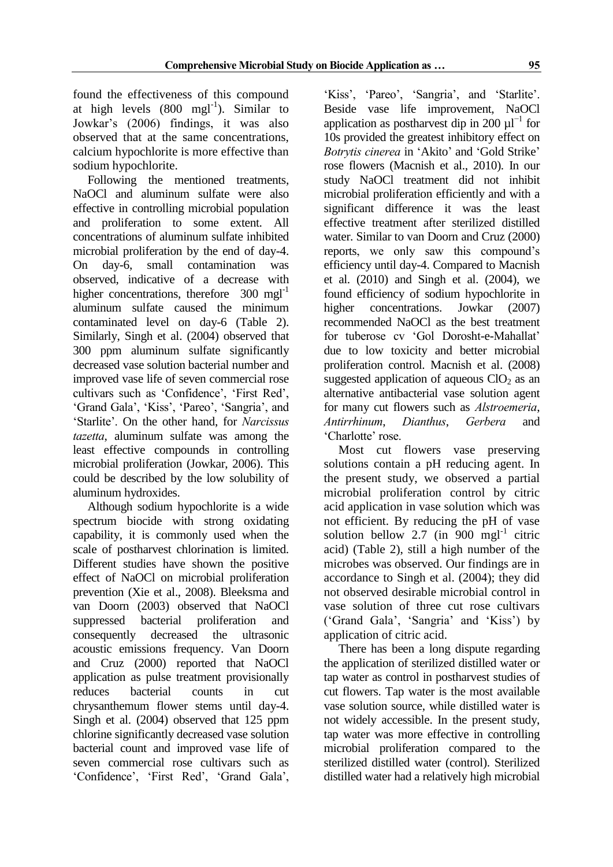found the effectiveness of this compound at high levels  $(800 \text{ mel}^{-1})$ . Similar to Jowkar's (2006) findings, it was also observed that at the same concentrations, calcium hypochlorite is more effective than sodium hypochlorite.

Following the mentioned treatments, NaOCl and aluminum sulfate were also effective in controlling microbial population and proliferation to some extent. All concentrations of aluminum sulfate inhibited microbial proliferation by the end of day-4. On day-6, small contamination was observed, indicative of a decrease with higher concentrations, therefore  $300 \text{ mgl}^{-1}$ aluminum sulfate caused the minimum contaminated level on day-6 (Table 2). Similarly, Singh et al. (2004) observed that 300 ppm aluminum sulfate significantly decreased vase solution bacterial number and improved vase life of seven commercial rose cultivars such as 'Confidence', 'First Red', 'Grand Gala', 'Kiss', 'Pareo', 'Sangria', and 'Starlite'. On the other hand, for *Narcissus tazetta*, aluminum sulfate was among the least effective compounds in controlling microbial proliferation (Jowkar, 2006). This could be described by the low solubility of aluminum hydroxides.

Although sodium hypochlorite is a wide spectrum biocide with strong oxidating capability, it is commonly used when the scale of postharvest chlorination is limited. Different studies have shown the positive effect of NaOCl on microbial proliferation prevention (Xie et al., 2008). Bleeksma and van Doorn (2003) observed that NaOCl suppressed bacterial proliferation and consequently decreased the ultrasonic acoustic emissions frequency. Van Doorn and Cruz (2000) reported that NaOCl application as pulse treatment provisionally reduces bacterial counts in cut chrysanthemum flower stems until day-4. Singh et al. (2004) observed that 125 ppm chlorine significantly decreased vase solution bacterial count and improved vase life of seven commercial rose cultivars such as 'Confidence', 'First Red', 'Grand Gala',

'Kiss', 'Pareo', 'Sangria', and 'Starlite'. Beside vase life improvement, NaOCl application as postharvest dip in 200  $\mu$ l<sup>-1</sup> for 10s provided the greatest inhibitory effect on *Botrytis cinerea* in 'Akito' and 'Gold Strike' rose flowers (Macnish et al., 2010). In our study NaOCl treatment did not inhibit microbial proliferation efficiently and with a significant difference it was the least effective treatment after sterilized distilled water. Similar to van Doorn and Cruz (2000) reports, we only saw this compound's efficiency until day-4. Compared to Macnish et al. (2010) and Singh et al. (2004), we found efficiency of sodium hypochlorite in higher concentrations. Jowkar (2007) recommended NaOCl as the best treatment for tuberose cv 'Gol Dorosht-e-Mahallat' due to low toxicity and better microbial proliferation control. Macnish et al. (2008) suggested application of aqueous  $ClO<sub>2</sub>$  as an alternative antibacterial vase solution agent for many cut flowers such as *Alstroemeria*, *Antirrhinum*, *Dianthus*, *Gerbera* and 'Charlotte' rose.

Most cut flowers vase preserving solutions contain a pH reducing agent. In the present study, we observed a partial microbial proliferation control by citric acid application in vase solution which was not efficient. By reducing the pH of vase solution bellow 2.7 (in 900 mgl<sup>-1</sup> citric acid) (Table 2), still a high number of the microbes was observed. Our findings are in accordance to Singh et al. (2004); they did not observed desirable microbial control in vase solution of three cut rose cultivars ('Grand Gala', 'Sangria' and 'Kiss') by application of citric acid.

There has been a long dispute regarding the application of sterilized distilled water or tap water as control in postharvest studies of cut flowers. Tap water is the most available vase solution source, while distilled water is not widely accessible. In the present study, tap water was more effective in controlling microbial proliferation compared to the sterilized distilled water (control). Sterilized distilled water had a relatively high microbial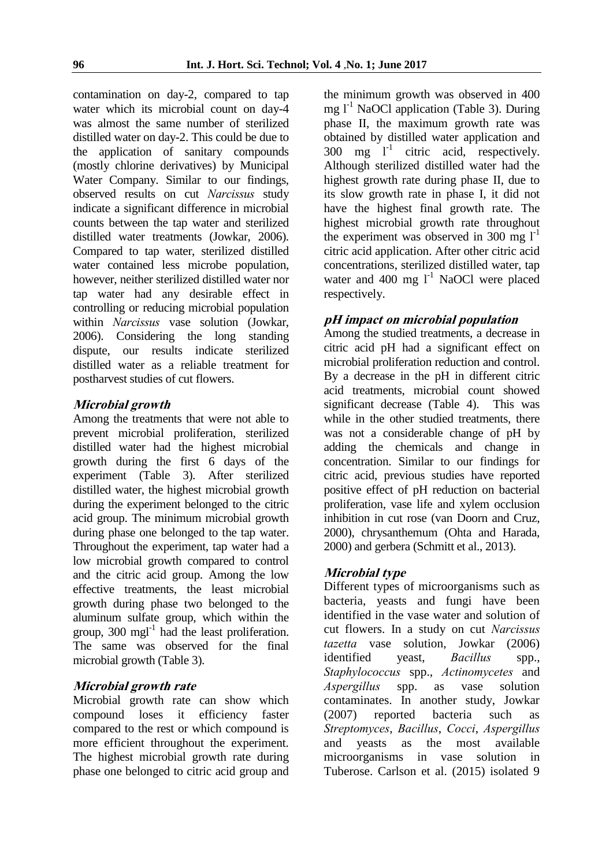contamination on day-2, compared to tap water which its microbial count on day-4 was almost the same number of sterilized distilled water on day-2. This could be due to the application of sanitary compounds (mostly chlorine derivatives) by Municipal Water Company. Similar to our findings, observed results on cut *Narcissus* study indicate a significant difference in microbial counts between the tap water and sterilized distilled water treatments (Jowkar, 2006). Compared to tap water, sterilized distilled water contained less microbe population, however, neither sterilized distilled water nor tap water had any desirable effect in controlling or reducing microbial population within *Narcissus* vase solution (Jowkar, 2006). Considering the long standing dispute, our results indicate sterilized distilled water as a reliable treatment for postharvest studies of cut flowers.

#### **Microbial growth**

Among the treatments that were not able to prevent microbial proliferation, sterilized distilled water had the highest microbial growth during the first 6 days of the experiment (Table 3). After sterilized distilled water, the highest microbial growth during the experiment belonged to the citric acid group. The minimum microbial growth during phase one belonged to the tap water. Throughout the experiment, tap water had a low microbial growth compared to control and the citric acid group. Among the low effective treatments, the least microbial growth during phase two belonged to the aluminum sulfate group, which within the group,  $300 \text{ mgl}^{-1}$  had the least proliferation. The same was observed for the final microbial growth (Table 3).

#### **Microbial growth rate**

Microbial growth rate can show which compound loses it efficiency faster compared to the rest or which compound is more efficient throughout the experiment. The highest microbial growth rate during phase one belonged to citric acid group and

the minimum growth was observed in 400 mg  $l^{-1}$  NaOCl application (Table 3). During phase II, the maximum growth rate was obtained by distilled water application and  $300 \text{ mg}$   $\Gamma^1$  citric acid, respectively. Although sterilized distilled water had the highest growth rate during phase II, due to its slow growth rate in phase I, it did not have the highest final growth rate. The highest microbial growth rate throughout the experiment was observed in 300 mg  $1^{-1}$ citric acid application. After other citric acid concentrations, sterilized distilled water, tap water and 400 mg  $1^1$  NaOCl were placed respectively.

#### **pH impact on microbial population**

Among the studied treatments, a decrease in citric acid pH had a significant effect on microbial proliferation reduction and control. By a decrease in the pH in different citric acid treatments, microbial count showed significant decrease (Table 4). This was while in the other studied treatments, there was not a considerable change of pH by adding the chemicals and change in concentration. Similar to our findings for citric acid, previous studies have reported positive effect of pH reduction on bacterial proliferation, vase life and xylem occlusion inhibition in cut rose (van Doorn and Cruz, 2000), chrysanthemum (Ohta and Harada, 2000) and gerbera (Schmitt et al., 2013).

#### **Microbial type**

Different types of microorganisms such as bacteria, yeasts and fungi have been identified in the vase water and solution of cut flowers. In a study on cut *Narcissus tazetta* vase solution, Jowkar (2006) identified yeast, *Bacillus* spp., *Staphylococcus* spp., *Actinomycetes* and *Aspergillus* spp. as vase solution contaminates. In another study, Jowkar (2007) reported bacteria such as *Streptomyces*, *Bacillus*, *Cocci*, *Aspergillus*  and yeasts as the most available microorganisms in vase solution in Tuberose. Carlson et al. (2015) isolated 9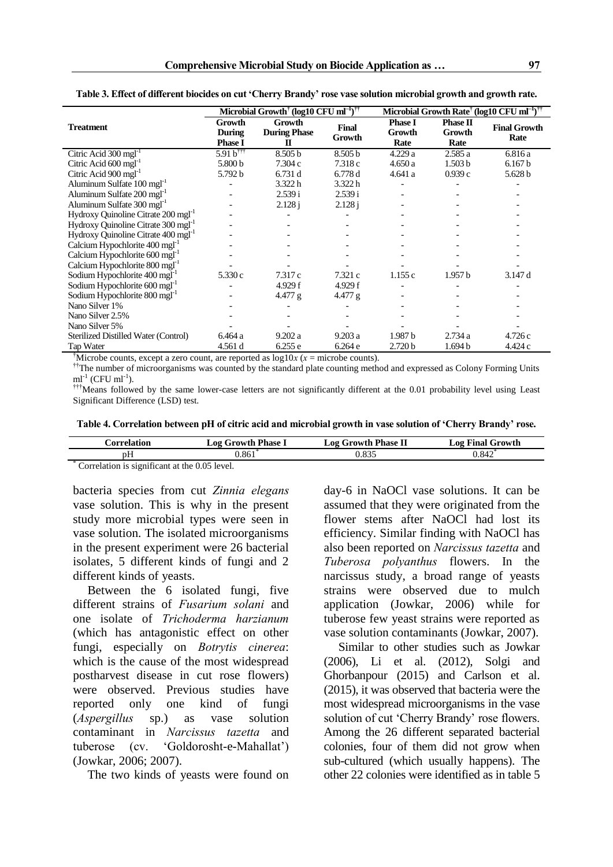|                                                 |                                           | Microbial Growth <sup>†</sup> (log10 CFU ml <sup>-1</sup> ) <sup>††</sup> |                        | Microbial Growth Rate <sup>†</sup> (log10 CFU ml <sup>-1)††</sup> |                            |                             |  |
|-------------------------------------------------|-------------------------------------------|---------------------------------------------------------------------------|------------------------|-------------------------------------------------------------------|----------------------------|-----------------------------|--|
| <b>Treatment</b>                                | Growth<br><b>During</b><br><b>Phase I</b> | Growth<br><b>During Phase</b><br>$\Pi$                                    | <b>Final</b><br>Growth | <b>Phase I</b><br><b>Growth</b><br>Rate                           | Phase II<br>Growth<br>Rate | <b>Final Growth</b><br>Rate |  |
| Citric Acid $300 \text{ mgl}^{-1}$              | $5.91 b^{\dagger\dagger}$                 | 8.505 b                                                                   | 8.505 b                | 4.229a                                                            | 2.585 a                    | 6.816 a                     |  |
| Citric Acid $600 \text{ mg}$ <sup>1</sup>       | 5.800 b                                   | 7.304 c                                                                   | 7.318c                 | 4.650a                                                            | 1.503 <sub>b</sub>         | 6.167 b                     |  |
| Citric Acid 900 mgl <sup>-1</sup>               | 5.792 b                                   | 6.731 d                                                                   | 6.778d                 | 4.641a                                                            | 0.939c                     | 5.628 b                     |  |
| Aluminum Sulfate 100 mgl <sup>-1</sup>          |                                           | 3.322h                                                                    | 3.322 h                |                                                                   |                            |                             |  |
| Aluminum Sulfate 200 mgl <sup>-1</sup>          |                                           | 2.539 i                                                                   | 2.539 i                |                                                                   |                            |                             |  |
| Aluminum Sulfate 300 mgl <sup>-1</sup>          |                                           | 2.128 i                                                                   | 2.128 i                |                                                                   |                            |                             |  |
| Hydroxy Quinoline Citrate 200 mgl <sup>-1</sup> |                                           |                                                                           |                        |                                                                   |                            |                             |  |
| Hydroxy Ouinoline Citrate 300 mgl <sup>-1</sup> |                                           |                                                                           |                        |                                                                   |                            |                             |  |
| Hydroxy Quinoline Citrate 400 mgl <sup>-1</sup> |                                           |                                                                           |                        |                                                                   |                            |                             |  |
| Calcium Hypochlorite 400 mgl <sup>-1</sup>      |                                           |                                                                           |                        |                                                                   |                            |                             |  |
| Calcium Hypochlorite 600 mgl <sup>-1</sup>      |                                           |                                                                           |                        |                                                                   |                            |                             |  |
| Calcium Hypochlorite 800 mgl <sup>-1</sup>      |                                           |                                                                           |                        |                                                                   |                            |                             |  |
| Sodium Hypochlorite 400 mgl <sup>-1</sup>       | 5.330 c                                   | 7.317 c                                                                   | 7.321 c                | 1.155c                                                            | 1.957 <sub>b</sub>         | 3.147 d                     |  |
| Sodium Hypochlorite 600 mgl <sup>-1</sup>       |                                           | 4.929 f                                                                   | 4.929 f                |                                                                   |                            |                             |  |
| Sodium Hypochlorite 800 mgl <sup>-1</sup>       |                                           | 4.477 g                                                                   | 4.477 g                |                                                                   |                            |                             |  |
| Nano Silver 1%                                  |                                           |                                                                           |                        |                                                                   |                            |                             |  |
| Nano Silver 2.5%                                |                                           |                                                                           |                        |                                                                   |                            |                             |  |
| Nano Silver 5%                                  |                                           |                                                                           |                        |                                                                   |                            |                             |  |
| Sterilized Distilled Water (Control)            | 6.464 a                                   | 9.202a                                                                    | 9.203a                 | 1.987 <sub>b</sub>                                                | 2.734a                     | 4.726 c                     |  |
| Tap Water                                       | 4.561 d                                   | 6.255e                                                                    | 6.264e                 | 2.720 <sub>b</sub>                                                | 1.694 <sub>b</sub>         | 4.424 c                     |  |

**Table 3. Effect of different biocides on cut 'Cherry Brandy' rose vase solution microbial growth and growth rate.** 

<sup>†</sup>Microbe counts, except a zero count, are reported as  $log 10x$  ( $x =$  microbe counts).

<sup>††</sup>The number of microorganisms was counted by the standard plate counting method and expressed as Colony Forming Units  $ml^{-1}$  (CFU ml<sup>-1</sup>).

†††Means followed by the same lower-case letters are not significantly different at the 0.01 probability level using Least Significant Difference (LSD) test.

|  |  |  | Table 4. Correlation between pH of citric acid and microbial growth in vase solution of 'Cherry Brandy' rose. |  |  |
|--|--|--|---------------------------------------------------------------------------------------------------------------|--|--|
|  |  |  |                                                                                                               |  |  |

| <b>Correlation</b>       | <b>Growth Phase 1</b><br>_02 ′            | <b>Log Growth Phase II</b> | $\log$ Final $\epsilon$<br>Growth |  |  |  |
|--------------------------|-------------------------------------------|----------------------------|-----------------------------------|--|--|--|
| рH                       | 1.861                                     | 0.835                      | 0.842                             |  |  |  |
| $\infty$<br>$\cdot$<br>- | $\sim$ $\sim$ $\sim$ $\sim$ $\sim$ $\sim$ |                            |                                   |  |  |  |

\* Correlation is significant at the 0.05 level.

bacteria species from cut *Zinnia elegans* vase solution. This is why in the present study more microbial types were seen in vase solution. The isolated microorganisms in the present experiment were 26 bacterial isolates, 5 different kinds of fungi and 2 different kinds of yeasts.

Between the 6 isolated fungi, five different strains of *Fusarium solani* and one isolate of *Trichoderma harzianum* (which has antagonistic effect on other fungi, especially on *Botrytis cinerea*: which is the cause of the most widespread postharvest disease in cut rose flowers) were observed. Previous studies have reported only one kind of fungi (*Aspergillus* sp.) as vase solution contaminant in *Narcissus tazetta* and tuberose (cv. 'Goldorosht-e-Mahallat') (Jowkar, 2006; 2007).

The two kinds of yeasts were found on

day-6 in NaOCl vase solutions. It can be assumed that they were originated from the flower stems after NaOCl had lost its efficiency. Similar finding with NaOCl has also been reported on *Narcissus tazetta* and *Tuberosa polyanthus* flowers. In the narcissus study, a broad range of yeasts strains were observed due to mulch application (Jowkar, 2006) while for tuberose few yeast strains were reported as vase solution contaminants (Jowkar, 2007).

Similar to other studies such as Jowkar (2006), Li et al. (2012), Solgi and Ghorbanpour (2015) and Carlson et al. (2015), it was observed that bacteria were the most widespread microorganisms in the vase solution of cut 'Cherry Brandy' rose flowers. Among the 26 different separated bacterial colonies, four of them did not grow when sub-cultured (which usually happens). The other 22 colonies were identified as in table 5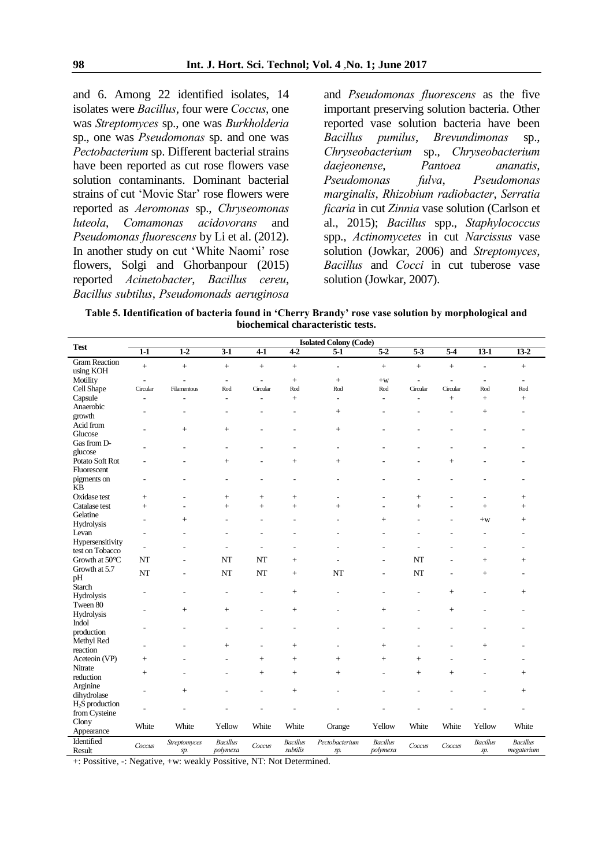and 6. Among 22 identified isolates, 14 isolates were *Bacillus*, four were *Coccus*, one was *Streptomyces* sp., one was *Burkholderia* sp., one was *Pseudomonas* sp. and one was *Pectobacterium* sp. Different bacterial strains have been reported as cut rose flowers vase solution contaminants. Dominant bacterial strains of cut 'Movie Star' rose flowers were reported as *Aeromonas* sp., *Chryseomonas luteola*, *Comamonas acidovorans* and *Pseudomonas fluorescens* by Li et al. (2012). In another study on cut 'White Naomi' rose flowers, Solgi and Ghorbanpour (2015) reported *Acinetobacter*, *Bacillus cereu*, *Bacillus subtilus*, *Pseudomonads aeruginosa*

and *Pseudomonas fluorescens* as the five important preserving solution bacteria. Other reported vase solution bacteria have been *Bacillus pumilus*, *Brevundimonas* sp., *Chryseobacterium* sp., *Chryseobacterium daejeonense*, *Pantoea ananatis*, *Pseudomonas fulva*, *Pseudomonas marginalis*, *Rhizobium radiobacter*, *Serratia ficaria* in cut *Zinnia* vase solution (Carlson et al., 2015); *Bacillus* spp., *Staphylococcus* spp., *Actinomycetes* in cut *Narcissus* vase solution (Jowkar, 2006) and *Streptomyces*, *Bacillus* and *Cocci* in cut tuberose vase solution (Jowkar, 2007).

**Table 5. Identification of bacteria found in 'Cherry Brandy' rose vase solution by morphological and biochemical characteristic tests.** 

| <b>Test</b>              |                          |                          |                             |                          |                             | <b>Isolated Colony (Code)</b> |                             |                          |                  |                          |                 |
|--------------------------|--------------------------|--------------------------|-----------------------------|--------------------------|-----------------------------|-------------------------------|-----------------------------|--------------------------|------------------|--------------------------|-----------------|
|                          | $\overline{1-1}$         | $1-2$                    | $\overline{3-1}$            | $4-1$                    | $4-2$                       | $\overline{5-1}$              | $5-2$                       | $\overline{5 \cdot 3}$   | $\overline{5-4}$ | $13-1$                   | $13-2$          |
| <b>Gram Reaction</b>     | $\ddot{}$                |                          |                             |                          | $\ddot{+}$                  |                               |                             |                          |                  | L,                       |                 |
| using KOH                |                          | $\ddot{}$                | $+$                         | $^{+}$                   |                             | $\blacksquare$                | $\ddot{}$                   | $+$                      | $\ddot{}$        |                          | $+$             |
| Motility                 | $\overline{\phantom{a}}$ | $\overline{a}$           | $\blacksquare$              | $\overline{\phantom{a}}$ | $^{+}$                      |                               | $+w$                        | $\overline{\phantom{a}}$ | $\blacksquare$   | $\overline{\phantom{a}}$ | $\blacksquare$  |
| Cell Shape               | Circular                 | Filamentous              | Rod                         | Circular                 | Rod                         | Rod                           | Rod                         | Circular                 | Circular         | Rod                      | Rod             |
| Capsule                  | $\overline{\phantom{a}}$ | Ĭ.                       | $\overline{a}$              | ä,                       | $^{+}$                      | $\blacksquare$                | $\overline{a}$              | $\overline{\phantom{a}}$ | $^{+}$           | $^{+}$                   | $+$             |
| Anaerobic                |                          |                          | ٠                           |                          | L,                          | $^{+}$                        | ÷                           |                          | ٠                | $\ddot{}$                | $\overline{a}$  |
| growth                   |                          |                          |                             |                          |                             |                               |                             |                          |                  |                          |                 |
| Acid from                |                          | $^{+}$                   | $^{+}$                      |                          | Ĭ.                          |                               |                             |                          |                  |                          |                 |
| Glucose                  |                          |                          |                             |                          |                             |                               |                             |                          |                  |                          |                 |
| Gas from D-              |                          | ۰                        |                             |                          | ۰                           | ٠                             |                             |                          |                  |                          |                 |
| glucose                  |                          |                          |                             |                          |                             |                               |                             |                          |                  |                          |                 |
| Potato Soft Rot          |                          |                          | $^{+}$                      | ÷                        | $^{+}$                      | $^{+}$                        |                             |                          | $^{+}$           |                          |                 |
| Fluorescent              |                          |                          |                             |                          |                             |                               |                             |                          |                  |                          |                 |
| pigments on              | $\overline{a}$           | ÷                        | ٠                           | ۰                        | L,                          | ۰                             |                             |                          |                  |                          |                 |
| <b>KB</b>                |                          |                          |                             |                          |                             |                               |                             |                          |                  |                          |                 |
| Oxidase test             | $\boldsymbol{+}$         | Ē,                       |                             | $^{+}$                   | $^{+}$                      | $\overline{a}$                |                             | $^{+}$                   | Ĭ.               | $\overline{a}$           | $+$             |
| Catalase test            | $+$                      | ۰                        | $+$                         | $^{+}$                   | $+$                         | $+$                           | ٠                           | $+$                      |                  | $\ddot{}$                | $+$             |
| Gelatine                 | $\blacksquare$           | $^{+}$                   | ۰                           | ۰                        | $\blacksquare$              |                               | $^{+}$                      |                          | ۰                | $+w$                     | $+$             |
| Hydrolysis               |                          |                          |                             |                          |                             |                               |                             |                          |                  |                          |                 |
| Levan                    | $\overline{a}$           |                          |                             |                          |                             |                               |                             |                          |                  |                          |                 |
| Hypersensitivity         | $\blacksquare$           | ۰                        | ٠                           | ۰                        | L,                          |                               |                             |                          |                  | ÷,                       | ٠               |
| test on Tobacco          |                          |                          |                             |                          |                             |                               |                             |                          |                  |                          |                 |
| Growth at 50°C           | NT                       | $\overline{\phantom{a}}$ | NT                          | NT                       | $^{+}$                      | L,                            | L,                          | NT                       |                  | $+$                      | $+$             |
| Growth at 5.7            | <b>NT</b>                | $\overline{a}$           | NT                          | NT                       | $^{+}$                      | NT                            | $\overline{\phantom{a}}$    | NT                       | $\overline{a}$   | $^{+}$                   | ۰               |
| pH                       |                          |                          |                             |                          |                             |                               |                             |                          |                  |                          |                 |
| Starch                   | ۰                        |                          |                             | $\overline{a}$           | $+$                         |                               |                             | ä,                       | $+$              | Ē,                       | $+$             |
| Hydrolysis               |                          |                          |                             |                          |                             |                               |                             |                          |                  |                          |                 |
| Tween 80                 |                          | $^{+}$                   | $^{+}$                      | $\overline{a}$           | $+$                         | ۰                             | $^{+}$                      | $\overline{\phantom{a}}$ | $^{+}$           |                          |                 |
| Hydrolysis               |                          |                          |                             |                          |                             |                               |                             |                          |                  |                          |                 |
| Indol                    |                          | ä,                       |                             |                          | L,                          |                               | ٠                           |                          |                  |                          |                 |
| production<br>Methyl Red |                          |                          |                             |                          |                             |                               |                             |                          |                  |                          |                 |
| reaction                 | ۰                        |                          | $^{+}$                      | ۰                        | $^{+}$                      | ٠                             | $+$                         |                          |                  | $^{+}$                   |                 |
|                          |                          |                          |                             |                          |                             |                               |                             |                          |                  |                          |                 |
| Aceteoin (VP)<br>Nitrate | $^{+}$                   |                          |                             | $^{+}$                   | $^{+}$                      | $^{+}$                        | $^{+}$                      | $^{+}$                   |                  |                          |                 |
| reduction                | $^{+}$                   |                          |                             | $^{+}$                   | $^{+}$                      | $^{+}$                        | $\overline{a}$              | $^{+}$                   | $^{+}$           |                          | $+$             |
| Arginine                 |                          |                          |                             |                          |                             |                               |                             |                          |                  |                          |                 |
| dihydrolase              | $\overline{\phantom{a}}$ | $^{+}$                   |                             |                          | $^{+}$                      |                               |                             |                          |                  |                          | $^{+}$          |
| $H2S$ production         |                          |                          |                             |                          |                             |                               |                             |                          |                  |                          |                 |
| from Cysteine            | ۰                        | Ē,                       |                             |                          | Ē,                          |                               |                             |                          |                  |                          | $\overline{a}$  |
| Clony                    |                          |                          |                             |                          |                             |                               |                             |                          |                  |                          |                 |
| Appearance               | White                    | White                    | Yellow                      | White                    | White                       | Orange                        | Yellow                      | White                    | White            | Yellow                   | White           |
| Identified               |                          |                          |                             |                          |                             |                               |                             |                          |                  |                          |                 |
| Result                   | Coccus                   | Streptomyces             | <b>Bacillus</b><br>polymexa | Coccus                   | <b>Bacillus</b><br>subtilis | Pectobacterium                | <b>Bacillus</b><br>polymexa | Coccus                   | Coccus           | <b>Bacillus</b>          | <b>Bacillus</b> |
|                          |                          | sp.                      |                             |                          |                             | sp.                           |                             |                          |                  | sp.                      | megaterium      |

+: Possitive, -: Negative, +w: weakly Possitive, NT: Not Determined.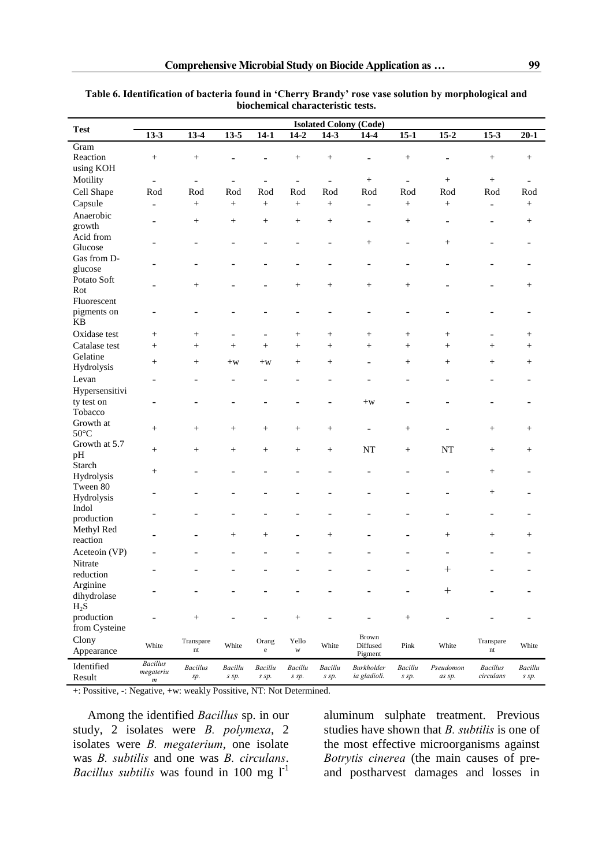| <b>Test</b>                 |                              | <b>Isolated Colony (Code)</b>         |                          |                          |                       |                   |                          |                 |                          |                                         |          |  |  |
|-----------------------------|------------------------------|---------------------------------------|--------------------------|--------------------------|-----------------------|-------------------|--------------------------|-----------------|--------------------------|-----------------------------------------|----------|--|--|
|                             | $13-3$                       | $13-4$                                | $13-5$                   | $14-1$                   | $14-2$                | $14-3$            | $14-4$                   | $15-1$          | $15-2$                   | $15-3$                                  | $20 - 1$ |  |  |
| Gram                        |                              |                                       |                          |                          |                       |                   |                          |                 |                          |                                         |          |  |  |
| Reaction                    | $\! + \!\!\!\!$              | $\! + \!\!\!\!$                       |                          |                          | $^{+}$                |                   |                          | $^{+}$          | $\overline{a}$           | $\begin{array}{c} + \end{array}$        | $^{+}$   |  |  |
| using KOH                   |                              |                                       |                          |                          |                       |                   |                          |                 |                          |                                         |          |  |  |
| Motility                    | $\overline{\phantom{0}}$     | ÷                                     |                          | $\overline{\phantom{a}}$ | $\blacksquare$        | ÷,                | $^{+}$                   | $\blacksquare$  | $^{+}$                   | $^{+}$                                  |          |  |  |
| Cell Shape                  | Rod                          | Rod                                   | Rod                      | Rod                      | Rod                   | Rod               | Rod                      | Rod             | Rod                      | Rod                                     | Rod      |  |  |
| Capsule                     |                              | $+$                                   | $+$                      |                          | $^{+}$                | $^{+}$            |                          | $+$             | $^{+}$                   |                                         |          |  |  |
|                             | $\overline{\phantom{0}}$     |                                       |                          | $^{+}$                   |                       |                   | $\overline{\phantom{a}}$ |                 |                          | $\overline{\phantom{a}}$                | $^{+}$   |  |  |
| Anaerobic                   |                              | $\! + \!\!\!\!$                       | $\! + \!\!\!\!$          | $\! + \!\!\!\!$          | $\! + \!\!\!\!$       |                   | $\overline{\phantom{a}}$ | $^{+}$          | $\overline{\phantom{a}}$ | ۰                                       | $^+$     |  |  |
| growth                      |                              |                                       |                          |                          |                       |                   |                          |                 |                          |                                         |          |  |  |
| Acid from                   |                              |                                       |                          |                          |                       |                   | $^{+}$                   |                 | $\! + \!\!\!\!$          |                                         |          |  |  |
| Glucose                     |                              |                                       |                          |                          |                       |                   |                          |                 |                          |                                         |          |  |  |
| Gas from D-                 |                              |                                       |                          |                          |                       |                   |                          |                 |                          |                                         |          |  |  |
| glucose                     |                              |                                       |                          |                          |                       |                   |                          |                 |                          |                                         |          |  |  |
| Potato Soft                 |                              | $\! + \!\!\!\!$                       |                          |                          | $\! + \!\!\!\!$       | $\! + \!\!\!\!$   | $\! +$                   | $^{+}$          |                          |                                         | $^{+}$   |  |  |
| Rot                         |                              |                                       |                          |                          |                       |                   |                          |                 |                          |                                         |          |  |  |
| Fluorescent                 |                              |                                       |                          |                          |                       |                   |                          |                 |                          |                                         |          |  |  |
| pigments on                 | $\overline{a}$               | ۰                                     |                          |                          |                       | ۰                 | $\blacksquare$           | ۰               | $\blacksquare$           |                                         |          |  |  |
| <b>KB</b>                   |                              |                                       |                          |                          |                       |                   |                          |                 |                          |                                         |          |  |  |
| Oxidase test                | $+$                          | $^{+}$                                | $\overline{\phantom{a}}$ | $\overline{\phantom{0}}$ | $^{+}$                | $\! + \!\!\!\!$   | $\qquad \qquad +$        | $^{+}$          | $\! + \!\!\!\!$          |                                         | $^{+}$   |  |  |
| Catalase test               | $+$                          | $^{+}$                                | $^{+}$                   | $^{+}$                   | $^{+}$                | $\qquad \qquad +$ | $^{+}$                   | $^{+}$          | $+$                      | $^{+}$                                  | $^{+}$   |  |  |
| Gelatine                    |                              |                                       |                          |                          |                       |                   |                          |                 |                          |                                         |          |  |  |
| Hydrolysis                  | $\! + \!\!\!\!$              | $\! + \!\!\!\!$                       | $+w$                     | $+w$                     | $^{+}$                | $\! + \!\!\!\!$   |                          | $^{+}$          | $\! + \!\!\!\!$          | $\! +$                                  | $^{+}$   |  |  |
| Levan                       |                              |                                       |                          |                          |                       |                   |                          |                 |                          |                                         |          |  |  |
| Hypersensitivi              |                              |                                       |                          |                          |                       |                   |                          |                 |                          |                                         |          |  |  |
|                             |                              |                                       |                          |                          |                       |                   |                          |                 |                          |                                         |          |  |  |
| ty test on                  | $\overline{a}$               |                                       |                          |                          |                       |                   | $+w$                     |                 |                          |                                         |          |  |  |
| Tobacco                     |                              |                                       |                          |                          |                       |                   |                          |                 |                          |                                         |          |  |  |
| Growth at<br>$50^{\circ}$ C | $\! + \!\!\!\!$              | $^{+}$                                | $\! + \!\!\!\!$          | $\! + \!\!\!\!$          | $^{+}$                | $\! + \!\!\!\!$   |                          | $^{+}$          |                          | $\! +$                                  | $^+$     |  |  |
|                             |                              |                                       |                          |                          |                       |                   |                          |                 |                          |                                         |          |  |  |
| Growth at 5.7               | $^{+}$                       | $^{+}$                                | $^{+}$                   | $+$                      | $^{+}$                | $\qquad \qquad +$ | <b>NT</b>                | $^{+}$          | <b>NT</b>                |                                         | $^{+}$   |  |  |
| pH                          |                              |                                       |                          |                          |                       |                   |                          |                 |                          |                                         |          |  |  |
| Starch                      | $+$                          |                                       |                          |                          |                       | L.                |                          | -               | $\overline{\phantom{0}}$ |                                         |          |  |  |
| Hydrolysis                  |                              |                                       |                          |                          |                       |                   |                          |                 |                          |                                         |          |  |  |
| Tween 80                    |                              |                                       |                          |                          |                       |                   |                          |                 |                          | $\! +$                                  |          |  |  |
| Hydrolysis                  |                              |                                       |                          |                          |                       |                   |                          |                 |                          |                                         |          |  |  |
| Indol                       |                              |                                       |                          |                          |                       |                   |                          |                 |                          |                                         |          |  |  |
| production                  |                              |                                       |                          |                          |                       |                   |                          |                 |                          |                                         |          |  |  |
| Methyl Red                  |                              |                                       | $\! + \!\!\!\!$          | $^{+}$                   |                       | $\! +$            |                          |                 | $\! + \!\!\!\!$          | $\! +$                                  | $^{+}$   |  |  |
| reaction                    |                              |                                       |                          |                          |                       |                   |                          |                 |                          |                                         |          |  |  |
| Aceteoin (VP)               |                              |                                       |                          |                          |                       |                   |                          |                 |                          |                                         |          |  |  |
| Nitrate                     |                              |                                       |                          |                          |                       |                   |                          |                 | $^{+}$                   |                                         |          |  |  |
| reduction                   |                              |                                       |                          |                          |                       |                   |                          |                 |                          |                                         |          |  |  |
| Arginine                    |                              |                                       |                          |                          |                       |                   |                          |                 |                          |                                         |          |  |  |
| dihydrolase                 |                              |                                       |                          |                          |                       |                   |                          |                 | $^{+}$                   |                                         |          |  |  |
| $H_2S$                      |                              |                                       |                          |                          |                       |                   |                          |                 |                          |                                         |          |  |  |
| production                  |                              | $^{+}$                                | ٠                        |                          |                       | -                 | -                        | $\! + \!\!\!\!$ | $\overline{\phantom{a}}$ |                                         |          |  |  |
| from Cysteine               |                              |                                       |                          |                          |                       |                   |                          |                 |                          |                                         |          |  |  |
|                             |                              |                                       |                          |                          |                       |                   | Brown                    |                 |                          |                                         |          |  |  |
| Clony                       | White                        | Transpare<br>$\mathop{\hbox{\rm nt}}$ | White                    | Orang<br>$\rm e$         | Yello<br>$\mathbf{W}$ | White             | Diffused                 | Pink            | White                    | Transpare<br>$\mathop{\rm nt}\nolimits$ | White    |  |  |
| Appearance                  |                              |                                       |                          |                          |                       |                   | Pigment                  |                 |                          |                                         |          |  |  |
| Identified                  | <b>Bacillus</b><br>megateriu | <b>Bacillus</b>                       | Bacillu                  | Bacillu                  | Bacillu               | Bacillu           | Burkholder               | Bacillu         | Pseudomon                | <b>Bacillus</b>                         | Bacillu  |  |  |
| Result                      | $\boldsymbol{m}$             | sp.                                   | s sp.                    | s sp.                    | s sp.                 | s sp.             | ia gladioli.             | s sp.           | as sp.                   | circulans                               | s sp.    |  |  |

**Table 6. Identification of bacteria found in 'Cherry Brandy' rose vase solution by morphological and biochemical characteristic tests.** 

+: Possitive, -: Negative, +w: weakly Possitive, NT: Not Determined.

Among the identified *Bacillus* sp. in our study, 2 isolates were *B. polymexa*, 2 isolates were *B. megaterium*, one isolate was *B. subtilis* and one was *B. circulans*. *Bacillus subtilis* was found in 100 mg  $1^{-1}$ 

aluminum sulphate treatment. Previous studies have shown that *B. subtilis* is one of the most effective microorganisms against *Botrytis cinerea* (the main causes of preand postharvest damages and losses in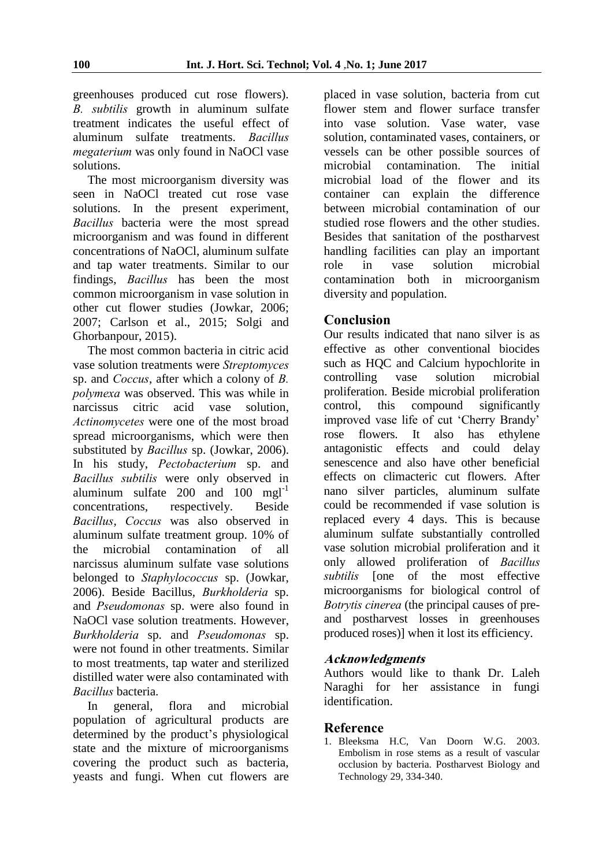greenhouses produced cut rose flowers). *B. subtilis* growth in aluminum sulfate treatment indicates the useful effect of aluminum sulfate treatments. *Bacillus megaterium* was only found in NaOCl vase solutions.

The most microorganism diversity was seen in NaOCl treated cut rose vase solutions. In the present experiment, *Bacillus* bacteria were the most spread microorganism and was found in different concentrations of NaOCl, aluminum sulfate and tap water treatments. Similar to our findings, *Bacillus* has been the most common microorganism in vase solution in other cut flower studies (Jowkar, 2006; 2007; Carlson et al., 2015; Solgi and Ghorbanpour, 2015).

The most common bacteria in citric acid vase solution treatments were *Streptomyces* sp. and *Coccus*, after which a colony of *B. polymexa* was observed. This was while in narcissus citric acid vase solution, *Actinomycetes* were one of the most broad spread microorganisms, which were then substituted by *Bacillus* sp. (Jowkar, 2006). In his study, *Pectobacterium* sp. and *Bacillus subtilis* were only observed in aluminum sulfate  $200$  and  $100$  mgl<sup>-1</sup> concentrations, respectively. Beside *Bacillus*, *Coccus* was also observed in aluminum sulfate treatment group. 10% of the microbial contamination of all narcissus aluminum sulfate vase solutions belonged to *Staphylococcus* sp. (Jowkar, 2006). Beside Bacillus, *Burkholderia* sp. and *Pseudomonas* sp. were also found in NaOCl vase solution treatments. However, *Burkholderia* sp. and *Pseudomonas* sp. were not found in other treatments. Similar to most treatments, tap water and sterilized distilled water were also contaminated with *Bacillus* bacteria.

In general, flora and microbial population of agricultural products are determined by the product's physiological state and the mixture of microorganisms covering the product such as bacteria, yeasts and fungi. When cut flowers are

placed in vase solution, bacteria from cut flower stem and flower surface transfer into vase solution. Vase water, vase solution, contaminated vases, containers, or vessels can be other possible sources of microbial contamination. The initial microbial load of the flower and its container can explain the difference between microbial contamination of our studied rose flowers and the other studies. Besides that sanitation of the postharvest handling facilities can play an important role in vase solution microbial contamination both in microorganism diversity and population.

## **Conclusion**

Our results indicated that nano silver is as effective as other conventional biocides such as HQC and Calcium hypochlorite in controlling vase solution microbial proliferation. Beside microbial proliferation control, this compound significantly improved vase life of cut 'Cherry Brandy' rose flowers. It also has ethylene antagonistic effects and could delay senescence and also have other beneficial effects on climacteric cut flowers. After nano silver particles, aluminum sulfate could be recommended if vase solution is replaced every 4 days. This is because aluminum sulfate substantially controlled vase solution microbial proliferation and it only allowed proliferation of *Bacillus subtilis* [one of the most effective microorganisms for biological control of *Botrytis cinerea* (the principal causes of preand postharvest losses in greenhouses produced roses)] when it lost its efficiency.

## **Acknowledgments**

Authors would like to thank Dr. Laleh Naraghi for her assistance in fungi identification.

#### **Reference**

1. Bleeksma H.C, Van Doorn W.G. 2003. Embolism in rose stems as a result of vascular occlusion by bacteria. Postharvest Biology and Technology 29, 334-340.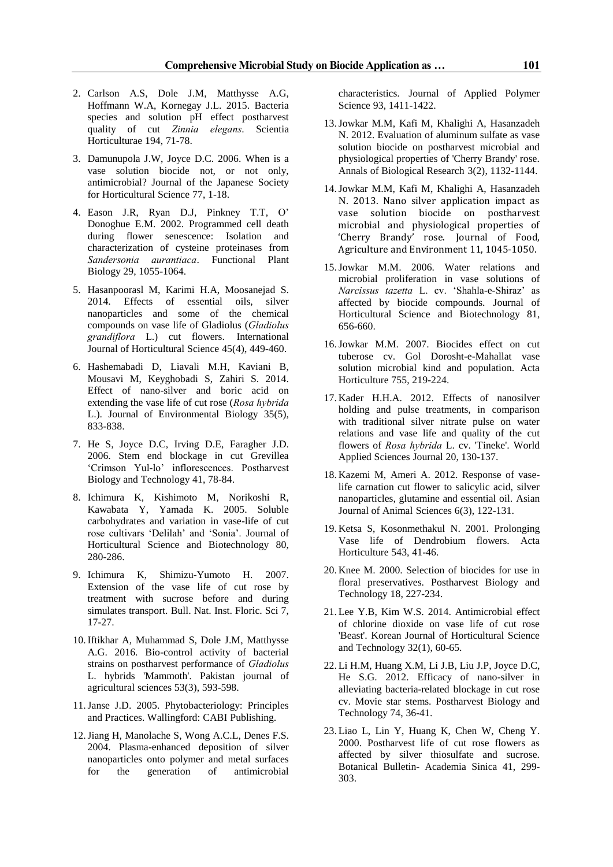- 2. Carlson A.S, Dole J.M, Matthysse A.G, Hoffmann W.A, Kornegay J.L. 2015. Bacteria species and solution pH effect postharvest quality of cut *Zinnia elegans*. Scientia Horticulturae 194, 71-78.
- 3. Damunupola J.W, Joyce D.C. 2006. When is a vase solution biocide not, or not only, antimicrobial? Journal of the Japanese Society for Horticultural Science 77, 1-18.
- 4. Eason J.R, Ryan D.J, Pinkney T.T, O' Donoghue E.M. 2002. Programmed cell death during flower senescence: Isolation and characterization of cysteine proteinases from *Sandersonia aurantiaca*. Functional Plant Biology 29, 1055-1064.
- 5. Hasanpoorasl M, Karimi H.A, Moosanejad S. 2014. Effects of essential oils, silver nanoparticles and some of the chemical compounds on vase life of Gladiolus (*Gladiolus grandiflora* L.) cut flowers. International Journal of Horticultural Science 45(4), 449-460.
- 6. Hashemabadi D, Liavali M.H, Kaviani B, Mousavi M, Keyghobadi S, Zahiri S. 2014. Effect of nano-silver and boric acid on extending the vase life of cut rose (*Rosa hybrida* L.). Journal of Environmental Biology 35(5), 833-838.
- 7. He S, Joyce D.C, Irving D.E, Faragher J.D. 2006. Stem end blockage in cut Grevillea 'Crimson Yul-lo' inflorescences. Postharvest Biology and Technology 41, 78-84.
- 8. Ichimura K, Kishimoto M, Norikoshi R, Kawabata Y, Yamada K. 2005. Soluble carbohydrates and variation in vase-life of cut rose cultivars 'Delilah' and 'Sonia'. Journal of Horticultural Science and Biotechnology 80, 280-286.
- 9. Ichimura K, Shimizu-Yumoto H. 2007. Extension of the vase life of cut rose by treatment with sucrose before and during simulates transport. Bull. Nat. Inst. Floric. Sci 7, 17-27.
- 10.Iftikhar A, Muhammad S, Dole J.M, Matthysse A.G. 2016. Bio-control activity of bacterial strains on postharvest performance of *Gladiolus* L. hybrids 'Mammoth'. Pakistan journal of agricultural sciences 53(3), 593-598.
- 11.Janse J.D. 2005. Phytobacteriology: Principles and Practices. Wallingford: CABI Publishing.
- 12.Jiang H, Manolache S, Wong A.C.L, Denes F.S. 2004. Plasma-enhanced deposition of silver nanoparticles onto polymer and metal surfaces for the generation of antimicrobial

characteristics. Journal of Applied Polymer Science 93, 1411-1422.

- 13.Jowkar M.M, Kafi M, Khalighi A, Hasanzadeh N. 2012. Evaluation of aluminum sulfate as vase solution biocide on postharvest microbial and physiological properties of 'Cherry Brandy' rose. Annals of Biological Research 3(2), 1132-1144.
- 14.Jowkar M.M, Kafi M, Khalighi A, Hasanzadeh N. 2013. Nano silver application impact as vase solution biocide on postharvest microbial and physiological properties of 'Cherry Brandy' rose. Journal of Food, Agriculture and Environment 11, 1045-1050.
- 15.Jowkar M.M. 2006. Water relations and microbial proliferation in vase solutions of *Narcissus tazetta* L. cv. 'Shahla-e-Shiraz' as affected by biocide compounds. Journal of Horticultural Science and Biotechnology 81, 656-660.
- 16.Jowkar M.M. 2007. Biocides effect on cut tuberose cv. Gol Dorosht-e-Mahallat vase solution microbial kind and population. Acta Horticulture 755, 219-224.
- 17. Kader H.H.A. 2012. Effects of nanosilver holding and pulse treatments, in comparison with traditional silver nitrate pulse on water relations and vase life and quality of the cut flowers of *Rosa hybrida* L. cv. 'Tineke'. World Applied Sciences Journal 20, 130-137.
- 18. Kazemi M, Ameri A. 2012. Response of vaselife carnation cut flower to salicylic acid, silver nanoparticles, glutamine and essential oil. Asian Journal of Animal Sciences 6(3), 122-131.
- 19. Ketsa S, Kosonmethakul N. 2001. Prolonging Vase life of Dendrobium flowers. Acta Horticulture 543, 41-46.
- 20. Knee M. 2000. Selection of biocides for use in floral preservatives. Postharvest Biology and Technology 18, 227-234.
- 21. Lee Y.B, Kim W.S. 2014. Antimicrobial effect of chlorine dioxide on vase life of cut rose 'Beast'. Korean Journal of Horticultural Science and Technology 32(1), 60-65.
- 22. Li H.M, Huang X.M, Li J.B, Liu J.P, Joyce D.C, He S.G. 2012. Efficacy of nano-silver in alleviating bacteria-related blockage in cut rose cv. Movie star stems. Postharvest Biology and Technology 74, 36-41.
- 23. Liao L, Lin Y, Huang K, Chen W, Cheng Y. 2000. Postharvest life of cut rose flowers as affected by silver thiosulfate and sucrose. Botanical Bulletin- Academia Sinica 41, 299- 303.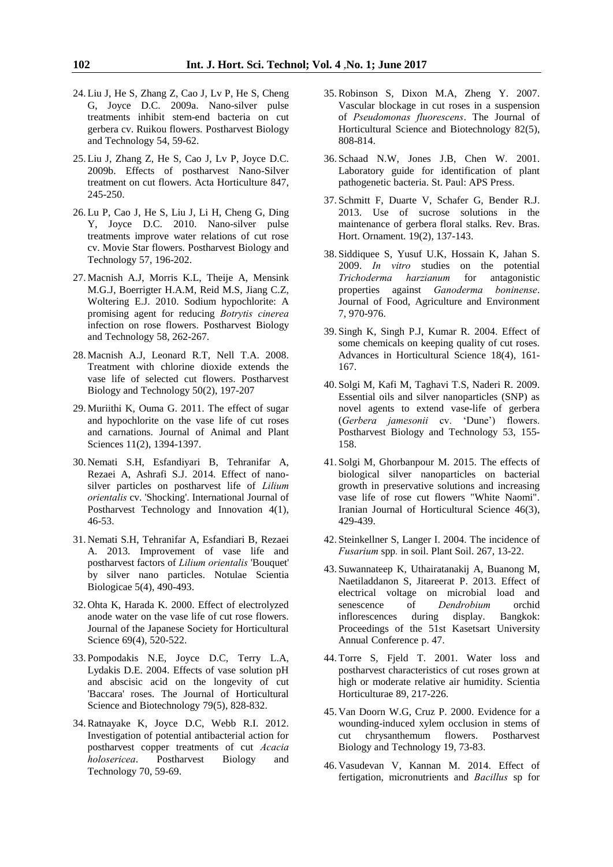- 24. Liu J, He S, Zhang Z, Cao J, Lv P, He S, Cheng G, Joyce D.C. 2009a. Nano-silver pulse treatments inhibit stem-end bacteria on cut gerbera cv. Ruikou flowers. Postharvest Biology and Technology 54, 59-62.
- 25. Liu J, Zhang Z, He S, Cao J, Lv P, Joyce D.C. 2009b. Effects of postharvest Nano-Silver treatment on cut flowers. Acta Horticulture 847, 245-250.
- 26. Lu P, Cao J, He S, Liu J, Li H, Cheng G, Ding Y, Joyce D.C. 2010. Nano-silver pulse treatments improve water relations of cut rose cv. Movie Star flowers. Postharvest Biology and Technology 57, 196-202.
- 27. Macnish A.J, Morris K.L, Theije A, Mensink M.G.J, Boerrigter H.A.M, Reid M.S, Jiang C.Z, Woltering E.J. 2010. Sodium hypochlorite: A promising agent for reducing *Botrytis cinerea*  infection on rose flowers. Postharvest Biology and Technology 58, 262-267.
- 28. Macnish A.J, Leonard R.T, Nell T.A. 2008. Treatment with chlorine dioxide extends the vase life of selected cut flowers. Postharvest Biology and Technology 50(2), 197-207
- 29. Muriithi K, Ouma G. 2011. The effect of sugar and hypochlorite on the vase life of cut roses and carnations. Journal of Animal and Plant Sciences 11(2), 1394-1397.
- 30. Nemati S.H, Esfandiyari B, Tehranifar A, Rezaei A, Ashrafi S.J. 2014. Effect of nanosilver particles on postharvest life of *Lilium orientalis* cv. 'Shocking'. International Journal of Postharvest Technology and Innovation 4(1), 46-53.
- 31. Nemati S.H, Tehranifar A, Esfandiari B, Rezaei A. 2013. Improvement of vase life and postharvest factors of *Lilium orientalis* 'Bouquet' by silver nano particles. Notulae Scientia Biologicae 5(4), 490-493.
- 32. Ohta K, Harada K. 2000. Effect of electrolyzed anode water on the vase life of cut rose flowers. Journal of the Japanese Society for Horticultural Science 69(4), 520-522.
- 33. Pompodakis N.E, Joyce D.C, Terry L.A, Lydakis D.E. 2004. Effects of vase solution pH and abscisic acid on the longevity of cut 'Baccara' roses. The Journal of Horticultural Science and Biotechnology 79(5), 828-832.
- 34.Ratnayake K, Joyce D.C, Webb R.I. 2012. Investigation of potential antibacterial action for postharvest copper treatments of cut *Acacia holosericea*. Postharvest Biology and Technology 70, 59-69.
- 35.Robinson S, Dixon M.A, Zheng Y. 2007. Vascular blockage in cut roses in a suspension of *Pseudomonas fluorescens*. The Journal of Horticultural Science and Biotechnology 82(5), 808-814.
- 36. Schaad N.W, Jones J.B, Chen W. 2001. Laboratory guide for identification of plant pathogenetic bacteria. St. Paul: APS Press.
- 37. Schmitt F, Duarte V, Schafer G, Bender R.J. 2013. Use of sucrose solutions in the maintenance of gerbera floral stalks. Rev. Bras. Hort. Ornament. 19(2), 137-143.
- 38. Siddiquee S, Yusuf U.K, Hossain K, Jahan S. 2009. *In vitro* studies on the potential *Trichoderma harzianum* for antagonistic properties against *Ganoderma boninense*. Journal of Food, Agriculture and Environment 7, 970-976.
- 39. Singh K, Singh P.J, Kumar R. 2004. Effect of some chemicals on keeping quality of cut roses. Advances in Horticultural Science 18(4), 161- 167.
- 40. Solgi M, Kafi M, Taghavi T.S, Naderi R. 2009. Essential oils and silver nanoparticles (SNP) as novel agents to extend vase-life of gerbera (*Gerbera jamesonii* cv. 'Dune') flowers. Postharvest Biology and Technology 53, 155- 158.
- 41. Solgi M, Ghorbanpour M. 2015. The effects of biological silver nanoparticles on bacterial growth in preservative solutions and increasing vase life of rose cut flowers "White Naomi". Iranian Journal of Horticultural Science 46(3), 429-439.
- 42. Steinkellner S, Langer I. 2004. The incidence of *Fusarium* spp*.* in soil. Plant Soil. 267, 13-22.
- 43. Suwannateep K, Uthairatanakij A, Buanong M, Naetiladdanon S, Jitareerat P. 2013. Effect of electrical voltage on microbial load and senescence of *Dendrobium* orchid inflorescences during display. Bangkok: Proceedings of the 51st Kasetsart University Annual Conference p. 47.
- 44. Torre S, Fjeld T. 2001. Water loss and postharvest characteristics of cut roses grown at high or moderate relative air humidity. Scientia Horticulturae 89, 217-226.
- 45. Van Doorn W.G, Cruz P. 2000. Evidence for a wounding-induced xylem occlusion in stems of cut chrysanthemum flowers. Postharvest Biology and Technology 19, 73-83.
- 46. Vasudevan V, Kannan M. 2014. Effect of fertigation, micronutrients and *Bacillus* sp for